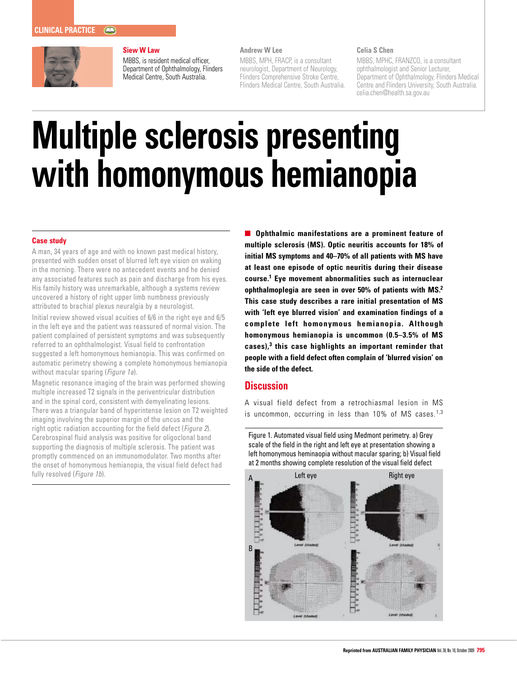

### **Siew W Law**

MBBS, is resident medical officer, Department of Ophthalmology, Flinders Medical Centre, South Australia.

## **Andrew W Lee**

MBBS, MPH, FRACP, is a consultant neurologist, Department of Neurology, Flinders Comprehensive Stroke Centre, Flinders Medical Centre, South Australia.

#### **Celia S Chen**

MBBS, MPHC, FRANZCO, is a consultant ophthalmologist and Senior Lecturer, Department of Ophthalmology, Flinders Medical Centre and Flinders University, South Australia. celia.chen@health.sa.gov.au

# **Multiple sclerosis presenting with homonymous hemianopia**

### **Case study**

A man, 34 years of age and with no known past medical history, presented with sudden onset of blurred left eye vision on waking in the morning. There were no antecedent events and he denied any associated features such as pain and discharge from his eyes. His family history was unremarkable, although a systems review uncovered a history of right upper limb numbness previously attributed to brachial plexus neuralgia by a neurologist.

Initial review showed visual acuities of 6/6 in the right eye and 6/5 in the left eye and the patient was reassured of normal vision. The patient complained of persistent symptoms and was subsequently referred to an ophthalmologist. Visual field to confrontation suggested a left homonymous hemianopia. This was confirmed on automatic perimetry showing a complete homonymous hemianopia without macular sparing (Figure 1a).

Magnetic resonance imaging of the brain was performed showing multiple increased T2 signals in the periventricular distribution and in the spinal cord, consistent with demyelinating lesions. There was a triangular band of hyperintense lesion on T2 weighted imaging involving the superior margin of the uncus and the right optic radiation accounting for the field defect (*Figure 2*). Cerebrospinal fluid analysis was positive for oligoclonal band supporting the diagnosis of multiple sclerosis. The patient was promptly commenced on an immunomodulator. Two months after the onset of homonymous hemianopia, the visual field defect had fully resolved (Figure 1b).

**Ophthalmic manifestations are a prominent feature of multiple sclerosis (MS). Optic neuritis accounts for 18% of initial MS symptoms and 40–70% of all patients with MS have at least one episode of optic neuritis during their disease course.1 Eye movement abnormalities such as internuclear ophthalmoplegia are seen in over 50% of patients with MS.2 This case study describes a rare initial presentation of MS with 'left eye blurred vision' and examination findings of a complete left homonymous hemianopia. Although homonymous hemianopia is uncommon (0.5–3.5% of MS cases),3 this case highlights an important reminder that people with a field defect often complain of 'blurred vision' on the side of the defect.** 

# **Discussion**

A visual field defect from a retrochiasmal lesion in MS is uncommon, occurring in less than  $10\%$  of MS cases.<sup>1,3</sup>

Figure 1. Automated visual field using Medmont perimetry. a) Grey scale of the field in the right and left eye at presentation showing a left homonymous heminaopia without macular sparing; b) Visual field at 2 months showing complete resolution of the visual field defect